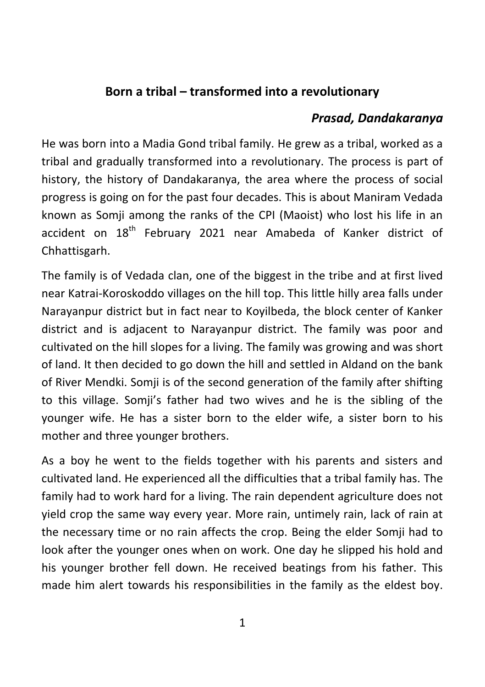## **Born a tribal – transformed into a revolutionary**

## *Prasad, Dandakaranya*

He was born into a Madia Gond tribal family. He grew as a tribal, worked as a tribal and gradually transformed into a revolutionary. The process is part of history, the history of Dandakaranya, the area where the process of social progress is going on for the past four decades. This is about Maniram Vedada known as Somji among the ranks of the CPI (Maoist) who lost his life in an accident on  $18<sup>th</sup>$  February 2021 near Amabeda of Kanker district of Chhattisgarh.

The family is of Vedada clan, one of the biggest in the tribe and at first lived near Katrai-Koroskoddo villages on the hill top. This little hilly area falls under Narayanpur district but in fact near to Koyilbeda, the block center of Kanker district and is adjacent to Narayanpur district. The family was poor and cultivated on the hill slopes for a living. The family was growing and was short of land. It then decided to go down the hill and settled in Aldand on the bank of River Mendki. Somji is of the second generation of the family after shifting to this village. Somji's father had two wives and he is the sibling of the younger wife. He has a sister born to the elder wife, a sister born to his mother and three younger brothers.

As a boy he went to the fields together with his parents and sisters and cultivated land. He experienced all the difficulties that a tribal family has. The family had to work hard for a living. The rain dependent agriculture does not yield crop the same way every year. More rain, untimely rain, lack of rain at the necessary time or no rain affects the crop. Being the elder Somji had to look after the younger ones when on work. One day he slipped his hold and his younger brother fell down. He received beatings from his father. This made him alert towards his responsibilities in the family as the eldest boy.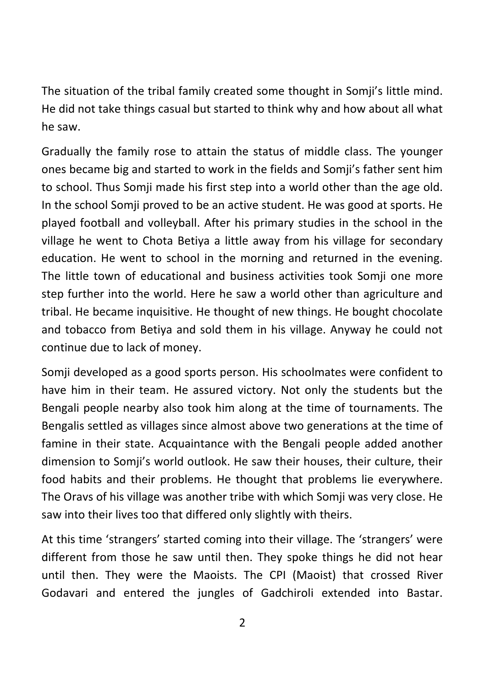The situation of the tribal family created some thought in Somji's little mind. He did not take things casual but started to think why and how about all what he saw.

Gradually the family rose to attain the status of middle class. The younger ones became big and started to work in the fields and Somji's father sent him to school. Thus Somji made his first step into a world other than the age old. In the school Somji proved to be an active student. He was good at sports. He played football and volleyball. After his primary studies in the school in the village he went to Chota Betiya a little away from his village for secondary education. He went to school in the morning and returned in the evening. The little town of educational and business activities took Somji one more step further into the world. Here he saw a world other than agriculture and tribal. He became inquisitive. He thought of new things. He bought chocolate and tobacco from Betiya and sold them in his village. Anyway he could not continue due to lack of money.

Somji developed as a good sports person. His schoolmates were confident to have him in their team. He assured victory. Not only the students but the Bengali people nearby also took him along at the time of tournaments. The Bengalis settled as villages since almost above two generations at the time of famine in their state. Acquaintance with the Bengali people added another dimension to Somji's world outlook. He saw their houses, their culture, their food habits and their problems. He thought that problems lie everywhere. The Oravs of his village was another tribe with which Somji was very close. He saw into their lives too that differed only slightly with theirs.

At this time 'strangers' started coming into their village. The 'strangers' were different from those he saw until then. They spoke things he did not hear until then. They were the Maoists. The CPI (Maoist) that crossed River Godavari and entered the jungles of Gadchiroli extended into Bastar.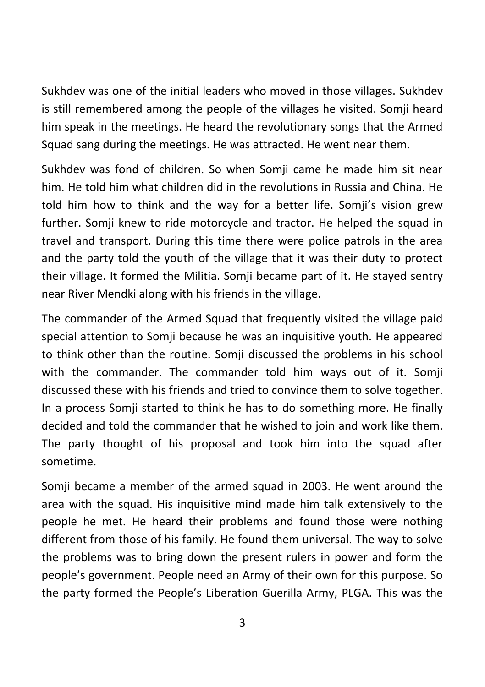Sukhdev was one of the initial leaders who moved in those villages. Sukhdev is still remembered among the people of the villages he visited. Somji heard him speak in the meetings. He heard the revolutionary songs that the Armed Squad sang during the meetings. He was attracted. He went near them.

Sukhdev was fond of children. So when Somji came he made him sit near him. He told him what children did in the revolutions in Russia and China. He told him how to think and the way for a better life. Somji's vision grew further. Somji knew to ride motorcycle and tractor. He helped the squad in travel and transport. During this time there were police patrols in the area and the party told the youth of the village that it was their duty to protect their village. It formed the Militia. Somji became part of it. He stayed sentry near River Mendki along with his friends in the village.

The commander of the Armed Squad that frequently visited the village paid special attention to Somji because he was an inquisitive youth. He appeared to think other than the routine. Somji discussed the problems in his school with the commander. The commander told him ways out of it. Somji discussed these with his friends and tried to convince them to solve together. In a process Somji started to think he has to do something more. He finally decided and told the commander that he wished to join and work like them. The party thought of his proposal and took him into the squad after sometime.

Somji became a member of the armed squad in 2003. He went around the area with the squad. His inquisitive mind made him talk extensively to the people he met. He heard their problems and found those were nothing different from those of his family. He found them universal. The way to solve the problems was to bring down the present rulers in power and form the people's government. People need an Army of their own for this purpose. So the party formed the People's Liberation Guerilla Army, PLGA. This was the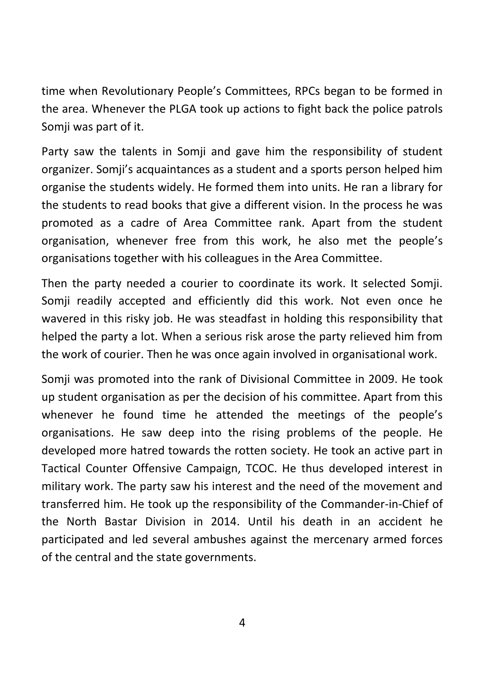time when Revolutionary People's Committees, RPCs began to be formed in the area. Whenever the PLGA took up actions to fight back the police patrols Somji was part of it.

Party saw the talents in Somji and gave him the responsibility of student organizer. Somji's acquaintances as a student and a sports person helped him organise the students widely. He formed them into units. He ran a library for the students to read books that give a different vision. In the process he was promoted as a cadre of Area Committee rank. Apart from the student organisation, whenever free from this work, he also met the people's organisations together with his colleagues in the Area Committee.

Then the party needed a courier to coordinate its work. It selected Somji. Somji readily accepted and efficiently did this work. Not even once he wavered in this risky job. He was steadfast in holding this responsibility that helped the party a lot. When a serious risk arose the party relieved him from the work of courier. Then he was once again involved in organisational work.

Somji was promoted into the rank of Divisional Committee in 2009. He took up student organisation as per the decision of his committee. Apart from this whenever he found time he attended the meetings of the people's organisations. He saw deep into the rising problems of the people. He developed more hatred towards the rotten society. He took an active part in Tactical Counter Offensive Campaign, TCOC. He thus developed interest in military work. The party saw his interest and the need of the movement and transferred him. He took up the responsibility of the Commander-in-Chief of the North Bastar Division in 2014. Until his death in an accident he participated and led several ambushes against the mercenary armed forces of the central and the state governments.

4